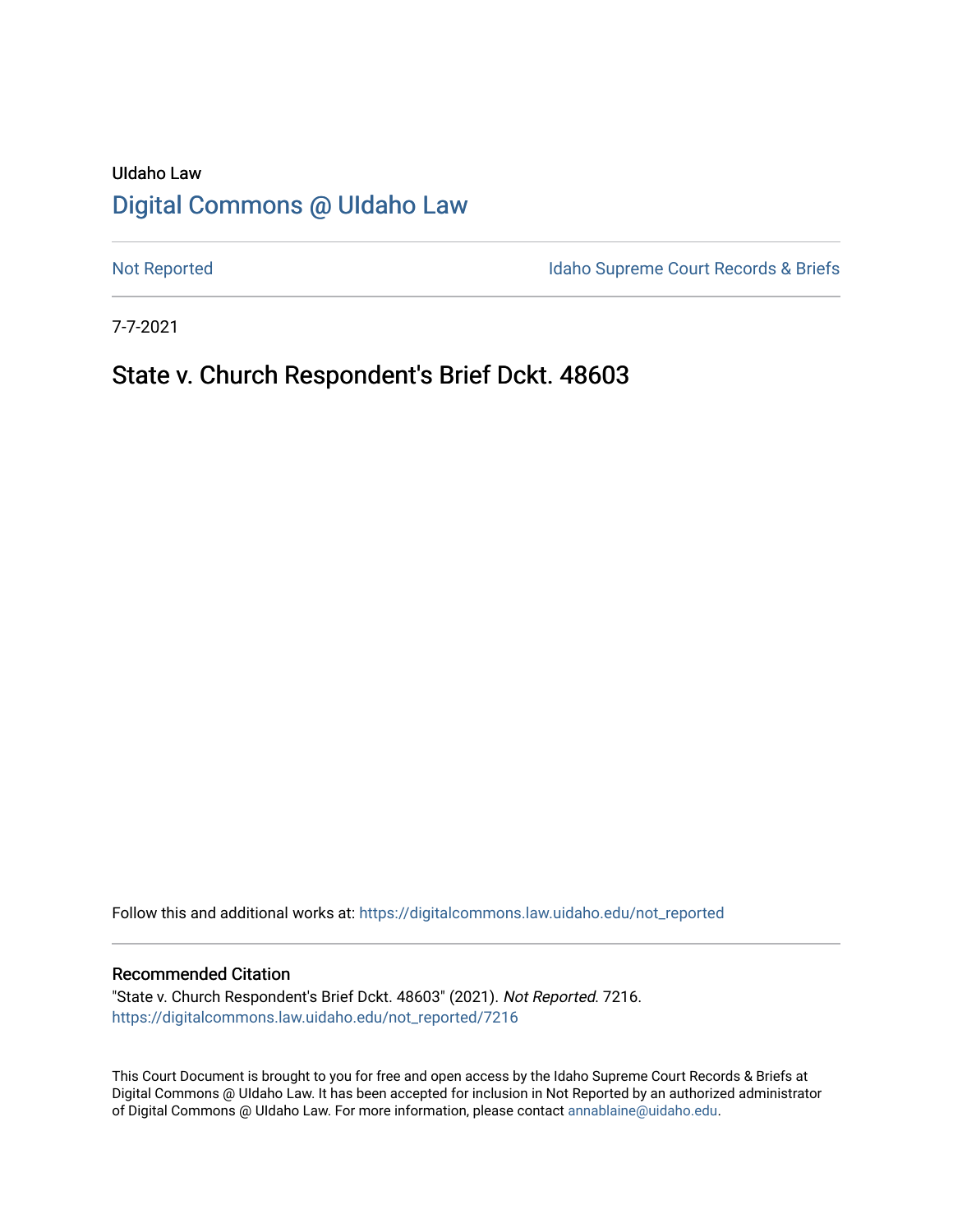## UIdaho Law [Digital Commons @ UIdaho Law](https://digitalcommons.law.uidaho.edu/)

[Not Reported](https://digitalcommons.law.uidaho.edu/not_reported) **Idaho Supreme Court Records & Briefs** 

7-7-2021

## State v. Church Respondent's Brief Dckt. 48603

Follow this and additional works at: [https://digitalcommons.law.uidaho.edu/not\\_reported](https://digitalcommons.law.uidaho.edu/not_reported?utm_source=digitalcommons.law.uidaho.edu%2Fnot_reported%2F7216&utm_medium=PDF&utm_campaign=PDFCoverPages) 

#### Recommended Citation

"State v. Church Respondent's Brief Dckt. 48603" (2021). Not Reported. 7216. [https://digitalcommons.law.uidaho.edu/not\\_reported/7216](https://digitalcommons.law.uidaho.edu/not_reported/7216?utm_source=digitalcommons.law.uidaho.edu%2Fnot_reported%2F7216&utm_medium=PDF&utm_campaign=PDFCoverPages)

This Court Document is brought to you for free and open access by the Idaho Supreme Court Records & Briefs at Digital Commons @ UIdaho Law. It has been accepted for inclusion in Not Reported by an authorized administrator of Digital Commons @ UIdaho Law. For more information, please contact [annablaine@uidaho.edu](mailto:annablaine@uidaho.edu).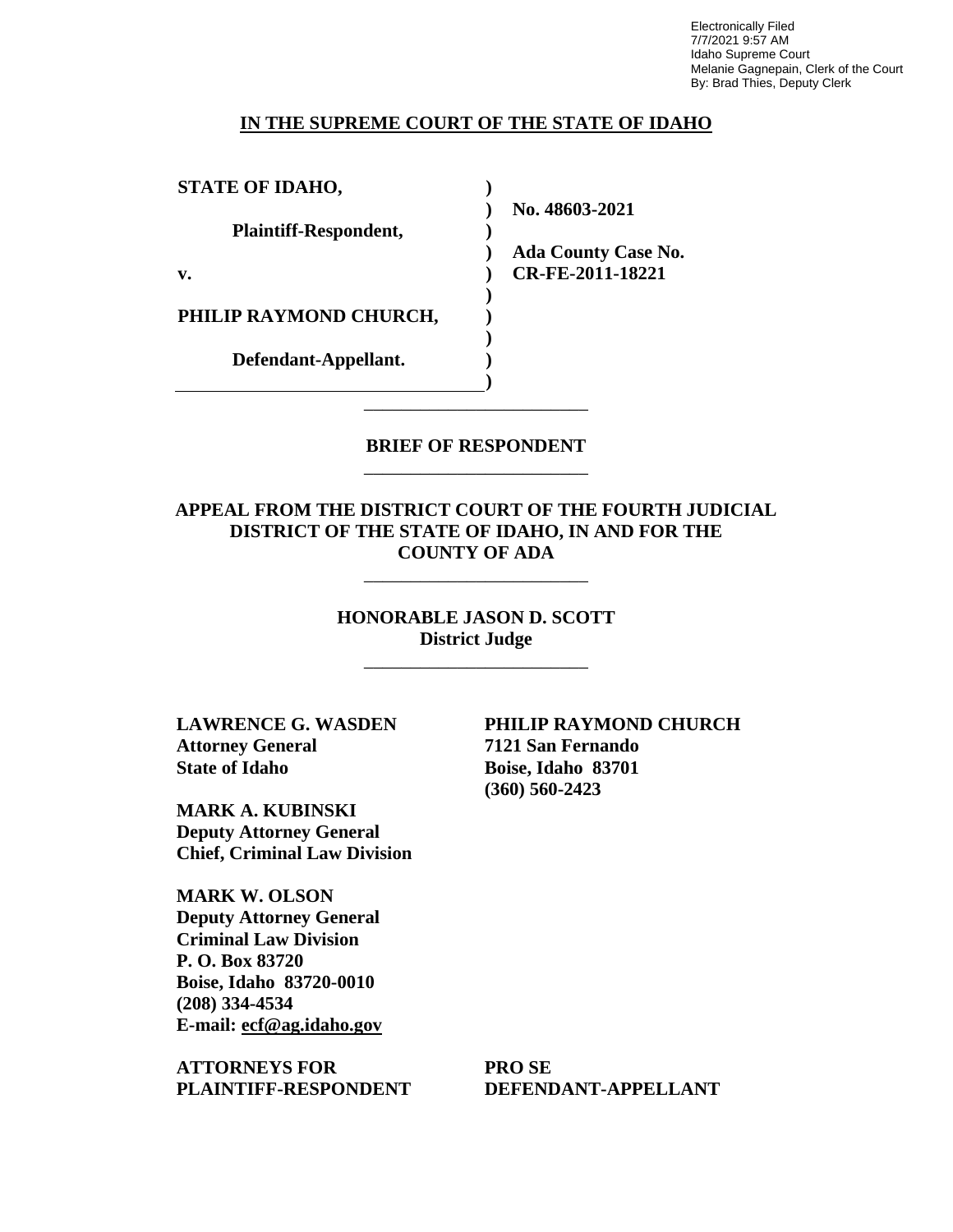Electronically Filed 7/7/2021 9:57 AM Idaho Supreme Court Melanie Gagnepain, Clerk of the Court By: Brad Thies, Deputy Clerk

#### **IN THE SUPREME COURT OF THE STATE OF IDAHO**

**) ) ) ) ) ) ) ) ) )**

**STATE OF IDAHO, Plaintiff-Respondent, v. PHILIP RAYMOND CHURCH, Defendant-Appellant.**

**No. 48603-2021** 

**Ada County Case No. CR-FE-2011-18221** 

**BRIEF OF RESPONDENT** \_\_\_\_\_\_\_\_\_\_\_\_\_\_\_\_\_\_\_\_\_\_\_\_

\_\_\_\_\_\_\_\_\_\_\_\_\_\_\_\_\_\_\_\_\_\_\_\_

**APPEAL FROM THE DISTRICT COURT OF THE FOURTH JUDICIAL DISTRICT OF THE STATE OF IDAHO, IN AND FOR THE COUNTY OF ADA**

\_\_\_\_\_\_\_\_\_\_\_\_\_\_\_\_\_\_\_\_\_\_\_\_

**HONORABLE JASON D. SCOTT District Judge**

\_\_\_\_\_\_\_\_\_\_\_\_\_\_\_\_\_\_\_\_\_\_\_\_

**LAWRENCE G. WASDEN Attorney General State of Idaho**

**MARK A. KUBINSKI Deputy Attorney General Chief, Criminal Law Division**

**MARK W. OLSON Deputy Attorney General Criminal Law Division P. O. Box 83720 Boise, Idaho 83720-0010 (208) 334-4534 E-mail: ecf@ag.idaho.gov** 

**ATTORNEYS FOR PLAINTIFF-RESPONDENT** **PHILIP RAYMOND CHURCH 7121 San Fernando Boise, Idaho 83701 (360) 560-2423** 

**PRO SE DEFENDANT-APPELLANT**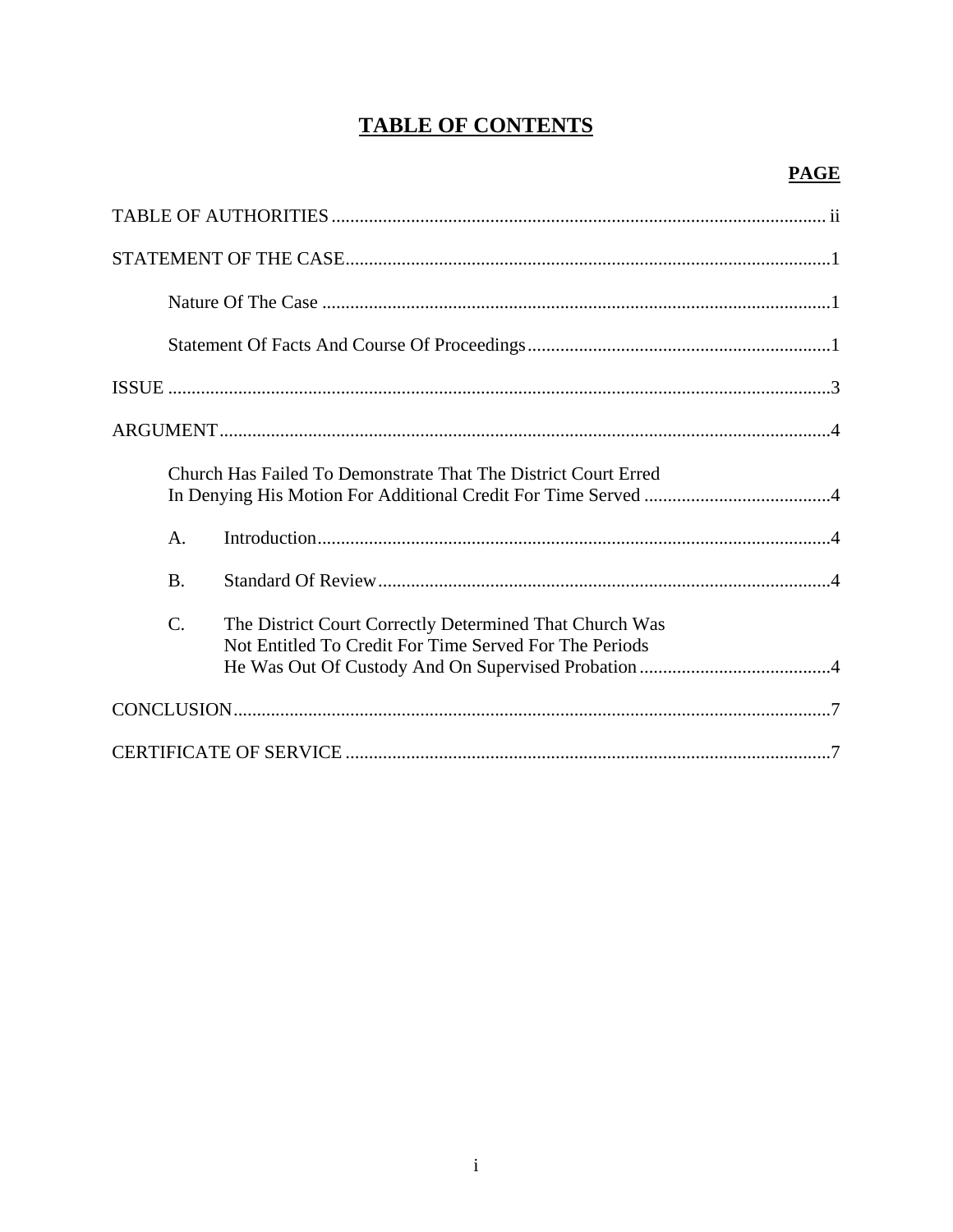# **TABLE OF CONTENTS**

|  |                 | Church Has Failed To Demonstrate That The District Court Erred                                                    |  |  |
|--|-----------------|-------------------------------------------------------------------------------------------------------------------|--|--|
|  | $A_{\cdot}$     |                                                                                                                   |  |  |
|  | <b>B.</b>       |                                                                                                                   |  |  |
|  | $\mathcal{C}$ . | The District Court Correctly Determined That Church Was<br>Not Entitled To Credit For Time Served For The Periods |  |  |
|  |                 |                                                                                                                   |  |  |
|  |                 |                                                                                                                   |  |  |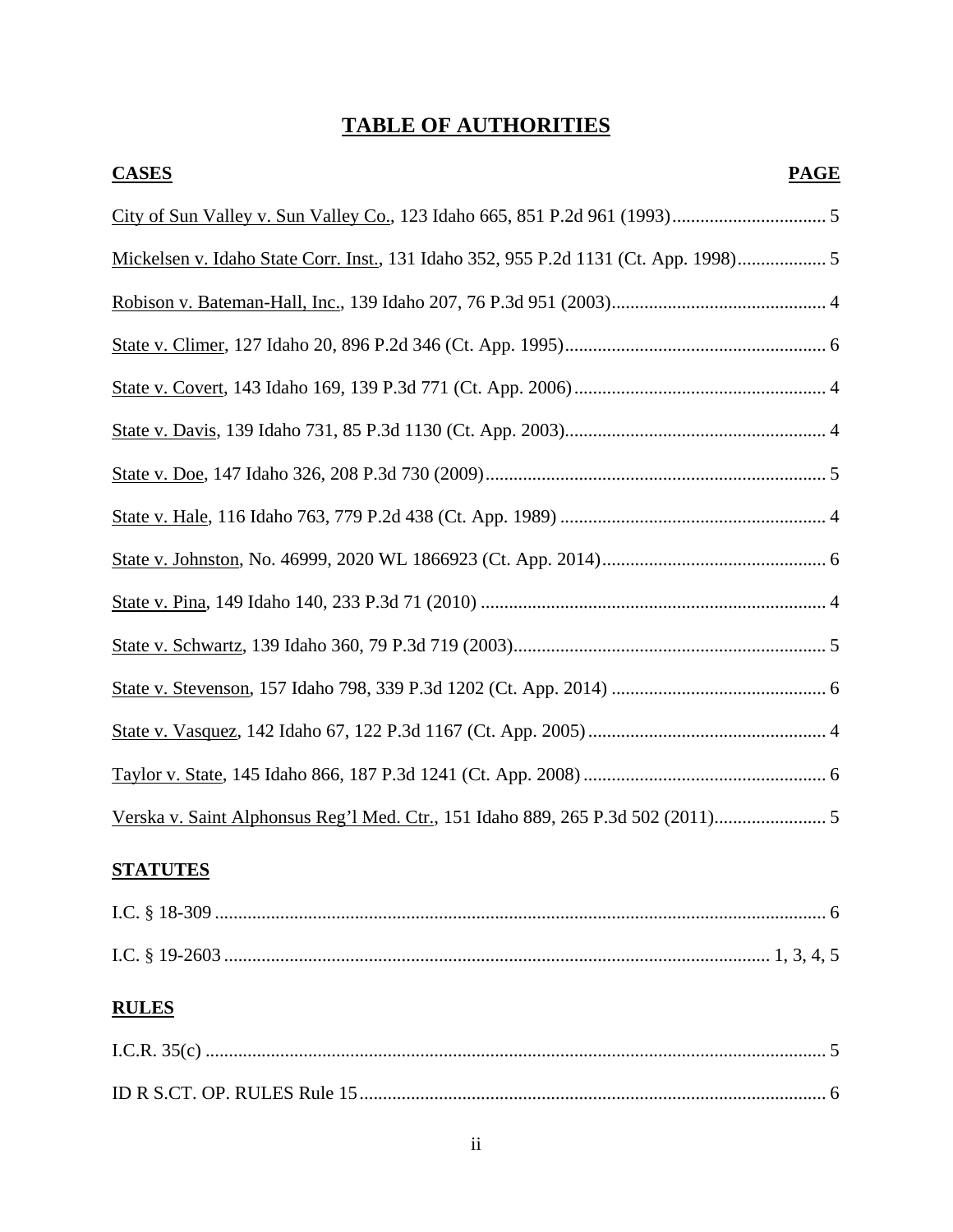# **TABLE OF AUTHORITIES**

| <b>CASES</b><br><b>PAGE</b>                                                        |  |
|------------------------------------------------------------------------------------|--|
|                                                                                    |  |
| Mickelsen v. Idaho State Corr. Inst., 131 Idaho 352, 955 P.2d 1131 (Ct. App. 1998) |  |
|                                                                                    |  |
|                                                                                    |  |
|                                                                                    |  |
|                                                                                    |  |
|                                                                                    |  |
|                                                                                    |  |
|                                                                                    |  |
|                                                                                    |  |
|                                                                                    |  |
|                                                                                    |  |
|                                                                                    |  |
|                                                                                    |  |
| Verska v. Saint Alphonsus Reg'l Med. Ctr., 151 Idaho 889, 265 P.3d 502 (2011) 5    |  |
| <b>STATUTES</b>                                                                    |  |
|                                                                                    |  |
|                                                                                    |  |
| <b>RULES</b>                                                                       |  |
|                                                                                    |  |
|                                                                                    |  |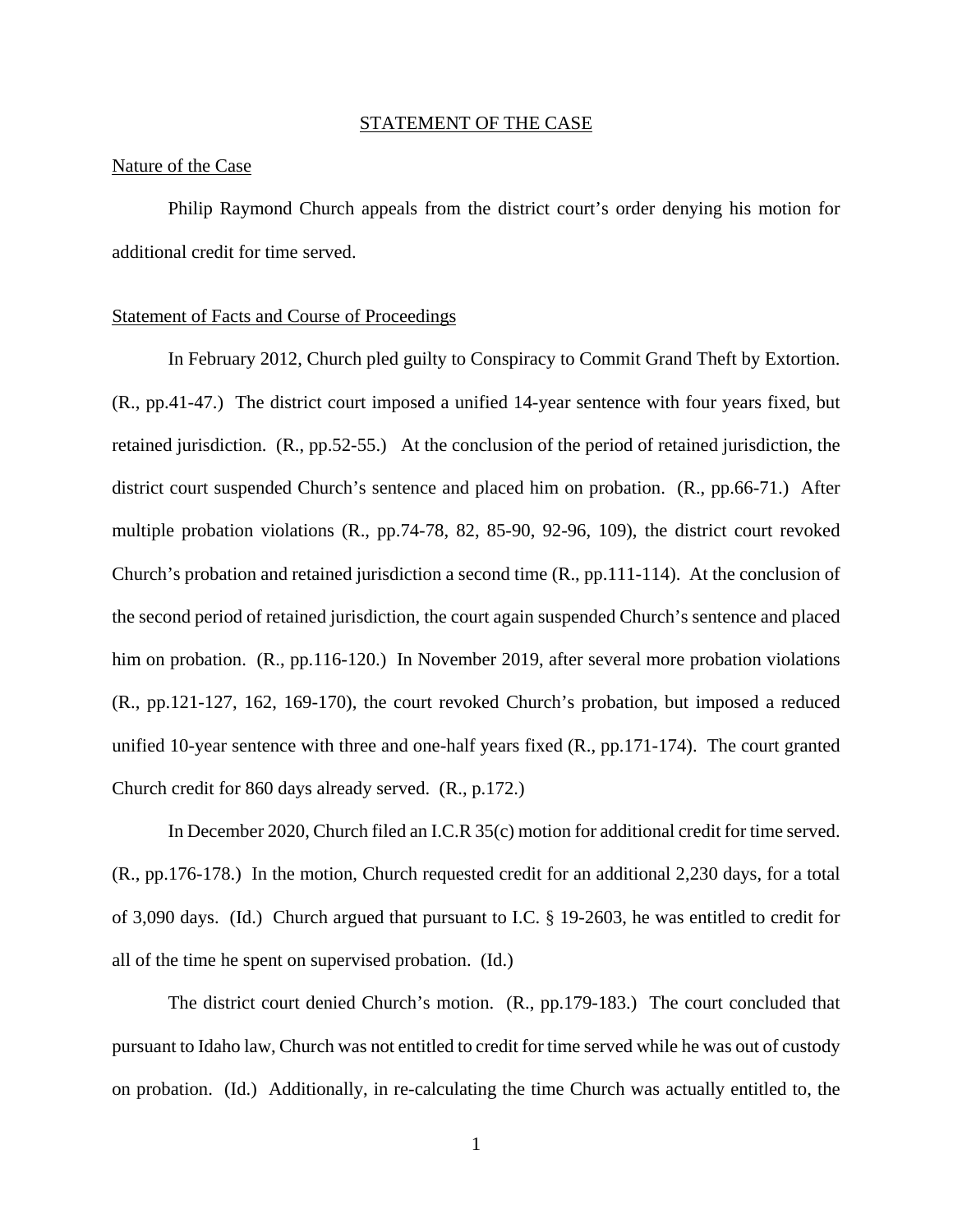#### STATEMENT OF THE CASE

#### Nature of the Case

Philip Raymond Church appeals from the district court's order denying his motion for additional credit for time served.

#### Statement of Facts and Course of Proceedings

In February 2012, Church pled guilty to Conspiracy to Commit Grand Theft by Extortion. (R., pp.41-47.) The district court imposed a unified 14-year sentence with four years fixed, but retained jurisdiction. (R., pp.52-55.) At the conclusion of the period of retained jurisdiction, the district court suspended Church's sentence and placed him on probation. (R., pp.66-71.) After multiple probation violations (R., pp.74-78, 82, 85-90, 92-96, 109), the district court revoked Church's probation and retained jurisdiction a second time (R., pp.111-114). At the conclusion of the second period of retained jurisdiction, the court again suspended Church's sentence and placed him on probation. (R., pp.116-120.) In November 2019, after several more probation violations (R., pp.121-127, 162, 169-170), the court revoked Church's probation, but imposed a reduced unified 10-year sentence with three and one-half years fixed (R., pp.171-174). The court granted Church credit for 860 days already served. (R., p.172.)

In December 2020, Church filed an I.C.R 35(c) motion for additional credit for time served. (R., pp.176-178.) In the motion, Church requested credit for an additional 2,230 days, for a total of 3,090 days. (Id.) Church argued that pursuant to I.C. § 19-2603, he was entitled to credit for all of the time he spent on supervised probation. (Id.)

The district court denied Church's motion. (R., pp.179-183.) The court concluded that pursuant to Idaho law, Church was not entitled to credit for time served while he was out of custody on probation. (Id.) Additionally, in re-calculating the time Church was actually entitled to, the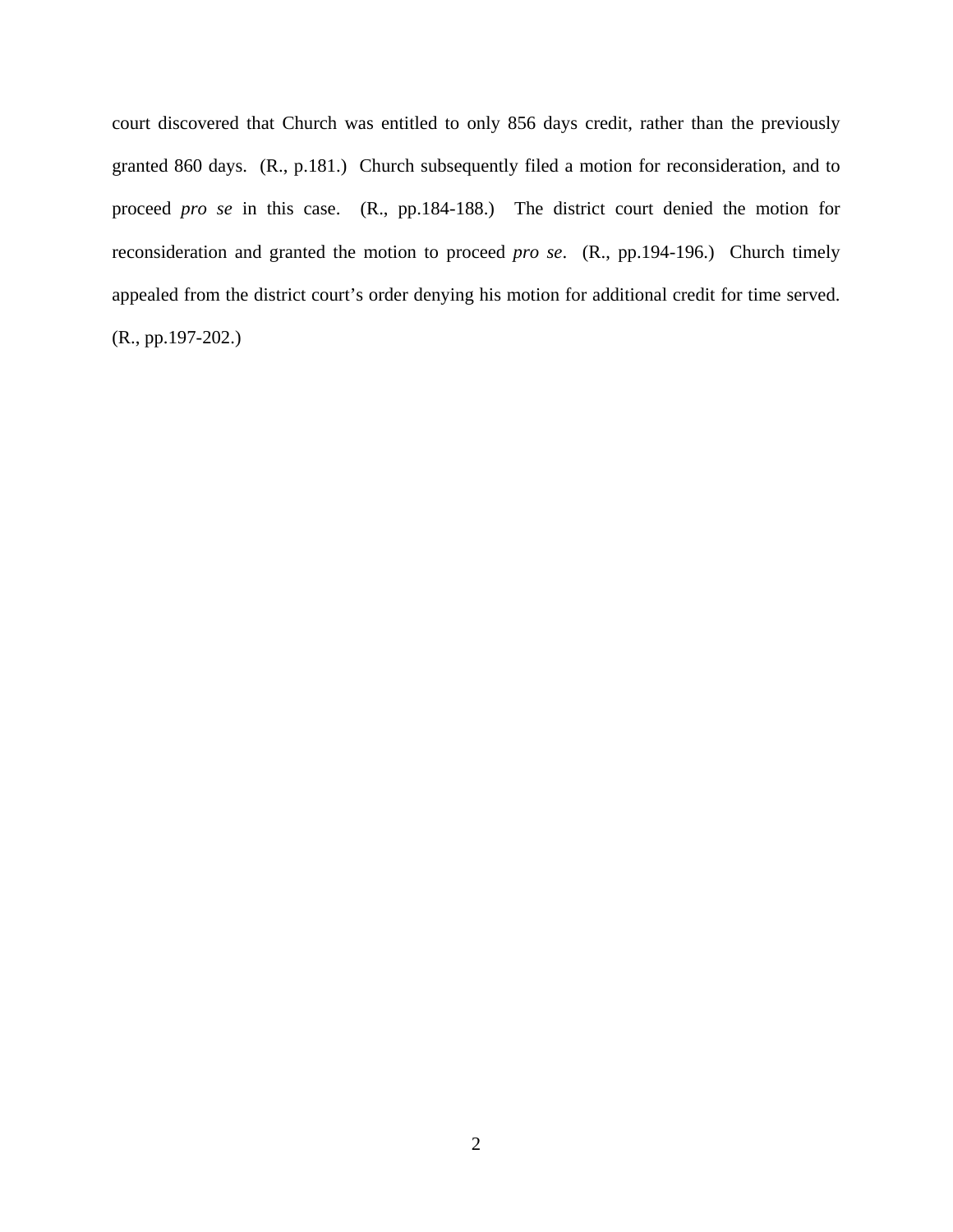court discovered that Church was entitled to only 856 days credit, rather than the previously granted 860 days. (R., p.181.) Church subsequently filed a motion for reconsideration, and to proceed *pro se* in this case. (R., pp.184-188.) The district court denied the motion for reconsideration and granted the motion to proceed *pro se*. (R., pp.194-196.) Church timely appealed from the district court's order denying his motion for additional credit for time served. (R., pp.197-202.)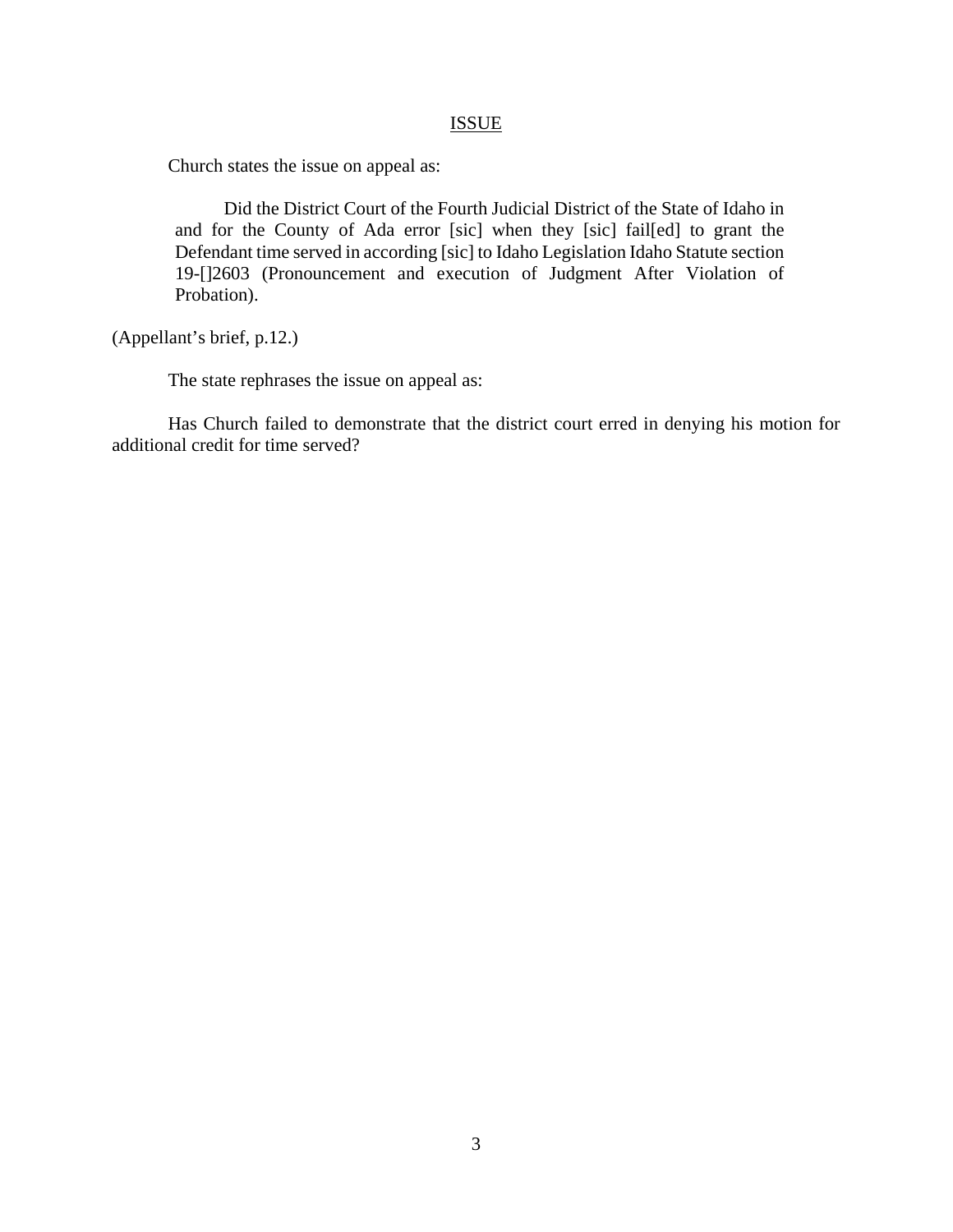#### ISSUE

Church states the issue on appeal as:

 Did the District Court of the Fourth Judicial District of the State of Idaho in and for the County of Ada error [sic] when they [sic] fail[ed] to grant the Defendant time served in according [sic] to Idaho Legislation Idaho Statute section 19-[]2603 (Pronouncement and execution of Judgment After Violation of Probation).

(Appellant's brief, p.12.)

The state rephrases the issue on appeal as:

Has Church failed to demonstrate that the district court erred in denying his motion for additional credit for time served?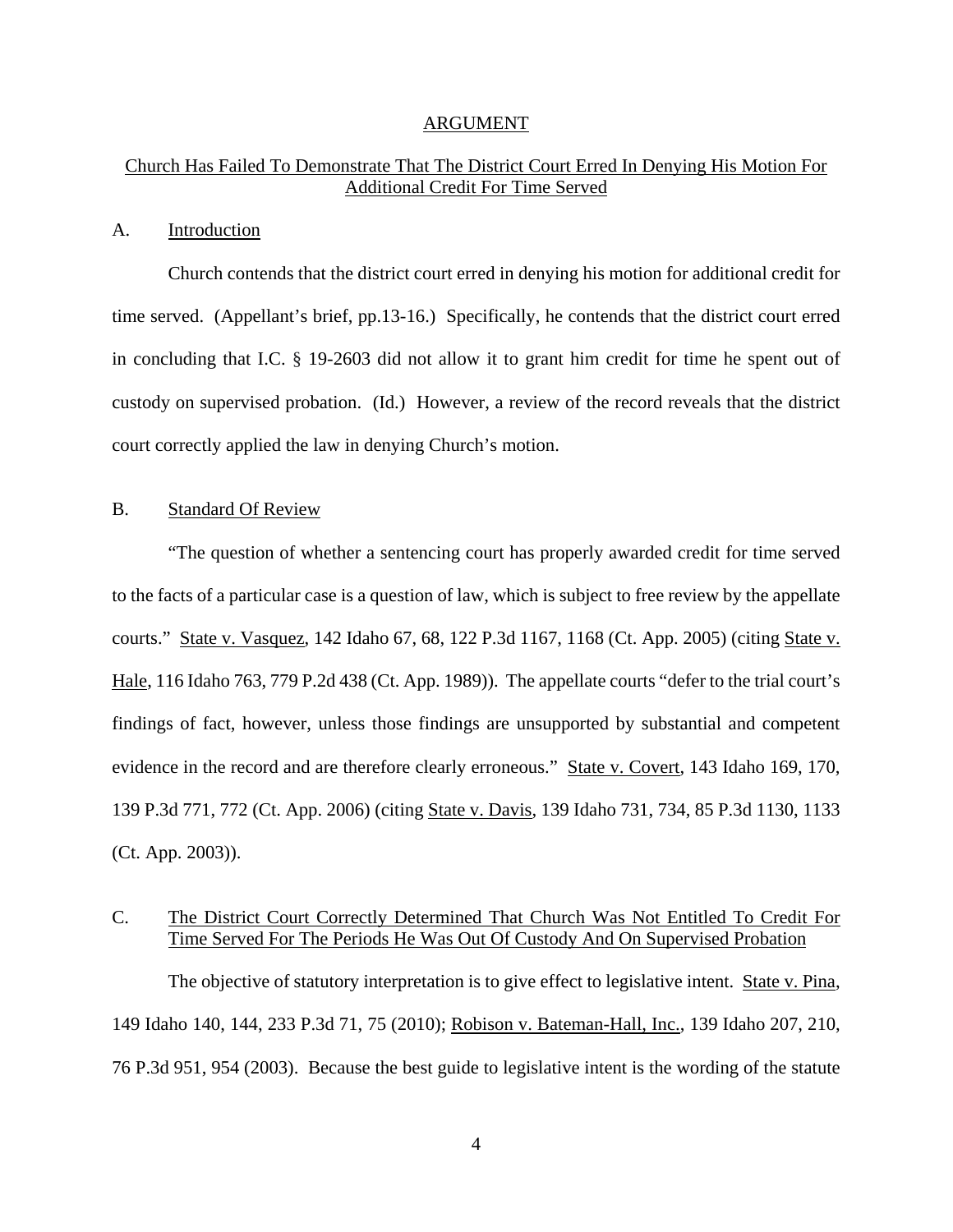#### ARGUMENT

## Church Has Failed To Demonstrate That The District Court Erred In Denying His Motion For Additional Credit For Time Served

#### A. Introduction

Church contends that the district court erred in denying his motion for additional credit for time served. (Appellant's brief, pp.13-16.) Specifically, he contends that the district court erred in concluding that I.C. § 19-2603 did not allow it to grant him credit for time he spent out of custody on supervised probation. (Id.) However, a review of the record reveals that the district court correctly applied the law in denying Church's motion.

#### B. Standard Of Review

 "The question of whether a sentencing court has properly awarded credit for time served to the facts of a particular case is a question of law, which is subject to free review by the appellate courts." State v. Vasquez, 142 Idaho 67, 68, 122 P.3d 1167, 1168 (Ct. App. 2005) (citing State v. Hale, 116 Idaho 763, 779 P.2d 438 (Ct. App. 1989)). The appellate courts "defer to the trial court's findings of fact, however, unless those findings are unsupported by substantial and competent evidence in the record and are therefore clearly erroneous." State v. Covert, 143 Idaho 169, 170, 139 P.3d 771, 772 (Ct. App. 2006) (citing State v. Davis, 139 Idaho 731, 734, 85 P.3d 1130, 1133 (Ct. App. 2003)).

## C. The District Court Correctly Determined That Church Was Not Entitled To Credit For Time Served For The Periods He Was Out Of Custody And On Supervised Probation

The objective of statutory interpretation is to give effect to legislative intent. State v. Pina, 149 Idaho 140, 144, 233 P.3d 71, 75 (2010); Robison v. Bateman-Hall, Inc., 139 Idaho 207, 210, 76 P.3d 951, 954 (2003). Because the best guide to legislative intent is the wording of the statute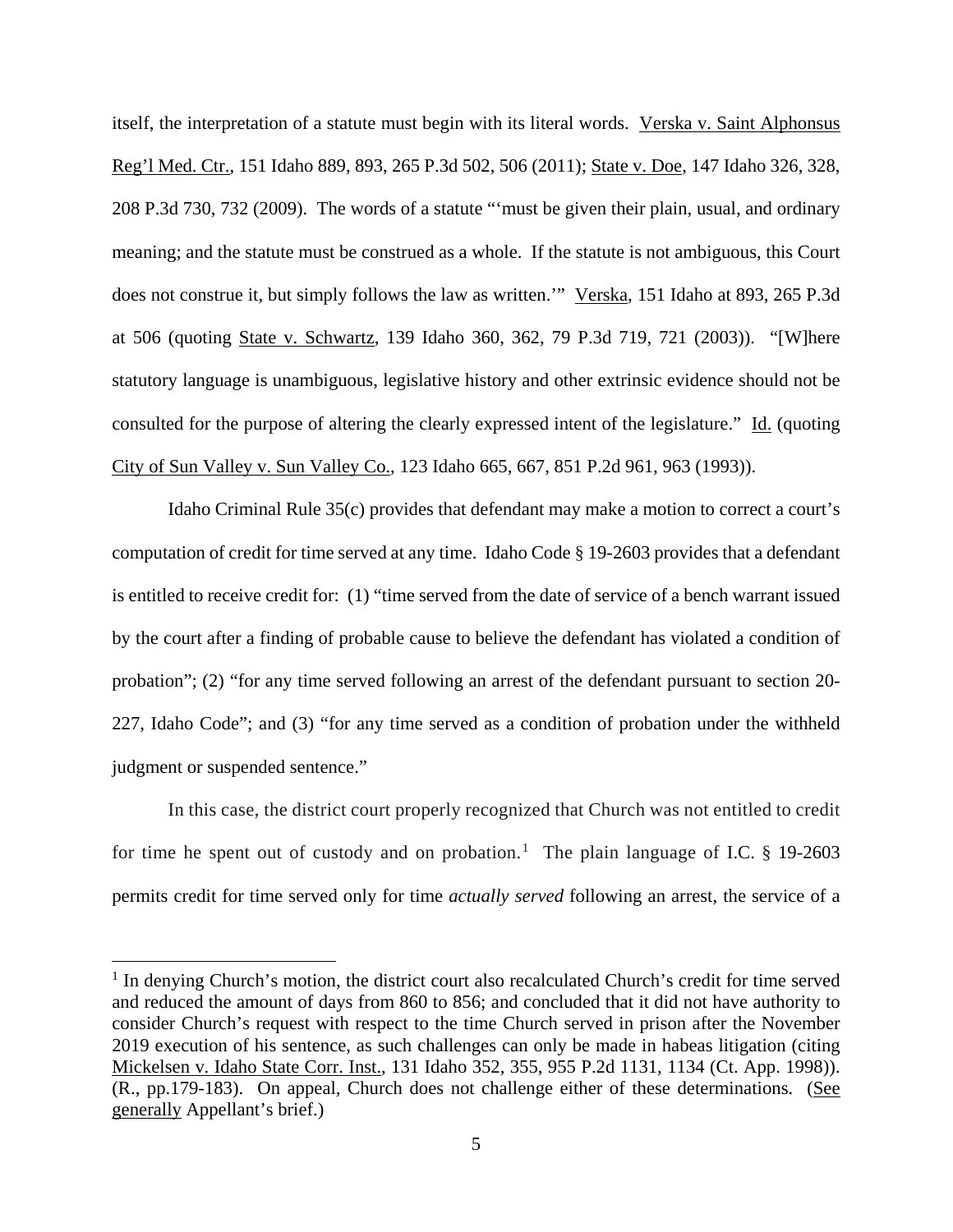itself, the interpretation of a statute must begin with its literal words. Verska v. Saint Alphonsus Reg'l Med. Ctr., 151 Idaho 889, 893, 265 P.3d 502, 506 (2011); State v. Doe, 147 Idaho 326, 328, 208 P.3d 730, 732 (2009). The words of a statute "'must be given their plain, usual, and ordinary meaning; and the statute must be construed as a whole. If the statute is not ambiguous, this Court does not construe it, but simply follows the law as written.'" Verska, 151 Idaho at 893, 265 P.3d at 506 (quoting State v. Schwartz, 139 Idaho 360, 362, 79 P.3d 719, 721 (2003)). "[W]here statutory language is unambiguous, legislative history and other extrinsic evidence should not be consulted for the purpose of altering the clearly expressed intent of the legislature." Id. (quoting City of Sun Valley v. Sun Valley Co., 123 Idaho 665, 667, 851 P.2d 961, 963 (1993)).

Idaho Criminal Rule 35(c) provides that defendant may make a motion to correct a court's computation of credit for time served at any time. Idaho Code § 19-2603 provides that a defendant is entitled to receive credit for: (1) "time served from the date of service of a bench warrant issued by the court after a finding of probable cause to believe the defendant has violated a condition of probation"; (2) "for any time served following an arrest of the defendant pursuant to section 20- 227, Idaho Code"; and (3) "for any time served as a condition of probation under the withheld judgment or suspended sentence."

In this case, the district court properly recognized that Church was not entitled to credit for time he spent out of custody and on probation.<sup>[1](#page-8-0)</sup> The plain language of I.C.  $\S$  19-2603 permits credit for time served only for time *actually served* following an arrest, the service of a

 $\overline{a}$ 

<span id="page-8-0"></span><sup>&</sup>lt;sup>1</sup> In denying Church's motion, the district court also recalculated Church's credit for time served and reduced the amount of days from 860 to 856; and concluded that it did not have authority to consider Church's request with respect to the time Church served in prison after the November 2019 execution of his sentence, as such challenges can only be made in habeas litigation (citing Mickelsen v. Idaho State Corr. Inst., 131 Idaho 352, 355, 955 P.2d 1131, 1134 (Ct. App. 1998)). (R., pp.179-183). On appeal, Church does not challenge either of these determinations. (See generally Appellant's brief.)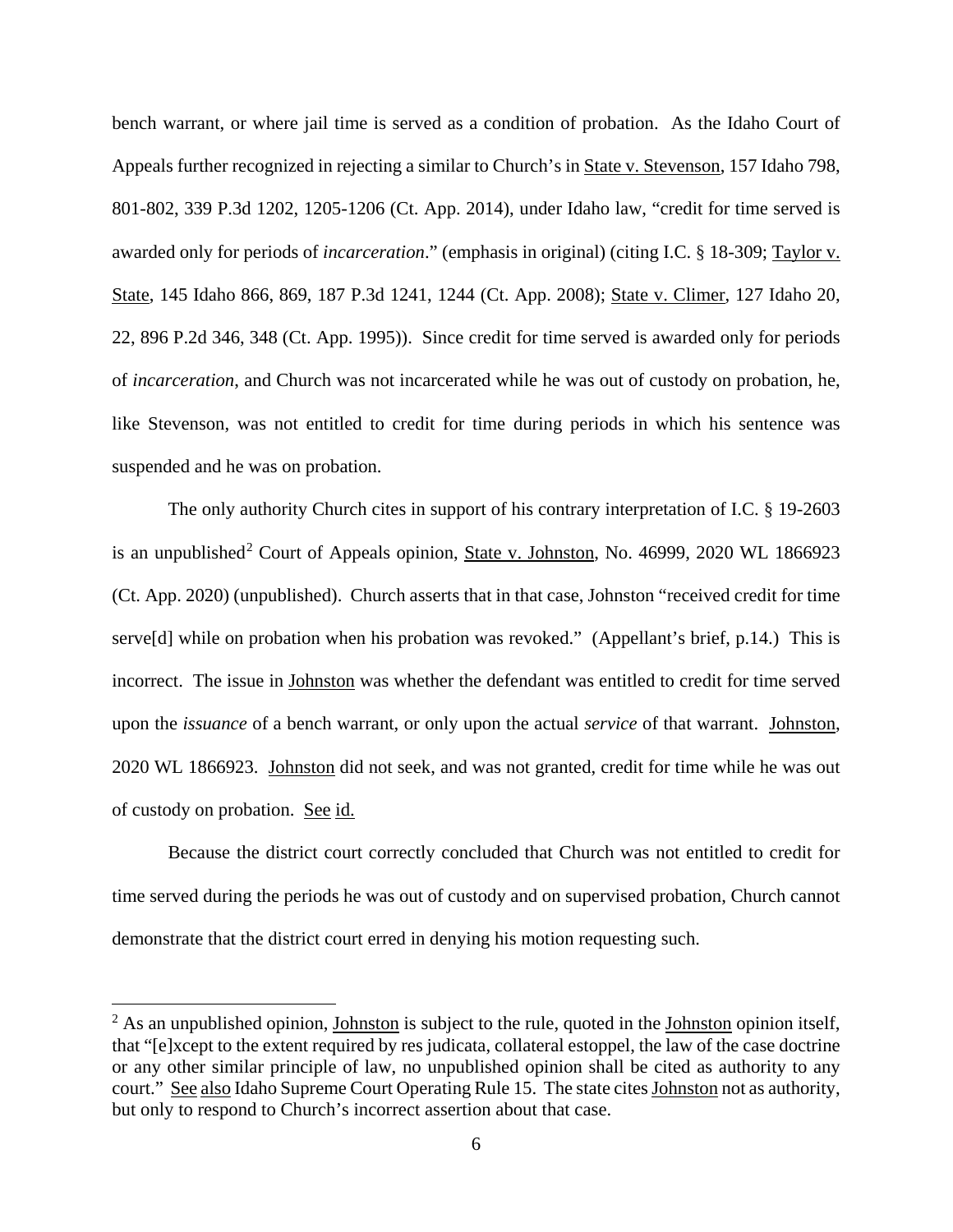bench warrant, or where jail time is served as a condition of probation. As the Idaho Court of Appeals further recognized in rejecting a similar to Church's in State v. Stevenson, 157 Idaho 798, 801-802, 339 P.3d 1202, 1205-1206 (Ct. App. 2014), under Idaho law, "credit for time served is awarded only for periods of *incarceration*." (emphasis in original) (citing I.C. § 18-309; Taylor v. State, 145 Idaho 866, 869, 187 P.3d 1241, 1244 (Ct. App. 2008); State v. Climer, 127 Idaho 20, 22, 896 P.2d 346, 348 (Ct. App. 1995)). Since credit for time served is awarded only for periods of *incarceration*, and Church was not incarcerated while he was out of custody on probation, he, like Stevenson, was not entitled to credit for time during periods in which his sentence was suspended and he was on probation.

The only authority Church cites in support of his contrary interpretation of I.C. § 19-2603 is an unpublished<sup>[2](#page-9-0)</sup> Court of Appeals opinion, State v. Johnston, No. 46999, 2020 WL 1866923 (Ct. App. 2020) (unpublished). Church asserts that in that case, Johnston "received credit for time serve<sup>[d]</sup> while on probation when his probation was revoked." (Appellant's brief, p.14.) This is incorrect. The issue in Johnston was whether the defendant was entitled to credit for time served upon the *issuance* of a bench warrant, or only upon the actual *service* of that warrant. Johnston, 2020 WL 1866923. Johnston did not seek, and was not granted, credit for time while he was out of custody on probation. See id.

Because the district court correctly concluded that Church was not entitled to credit for time served during the periods he was out of custody and on supervised probation, Church cannot demonstrate that the district court erred in denying his motion requesting such.

 $\overline{a}$ 

<span id="page-9-0"></span> $2$  As an unpublished opinion, Johnston is subject to the rule, quoted in the Johnston opinion itself, that "[e]xcept to the extent required by res judicata, collateral estoppel, the law of the case doctrine or any other similar principle of law, no unpublished opinion shall be cited as authority to any court." See also Idaho Supreme Court Operating Rule 15. The state cites Johnston not as authority, but only to respond to Church's incorrect assertion about that case.